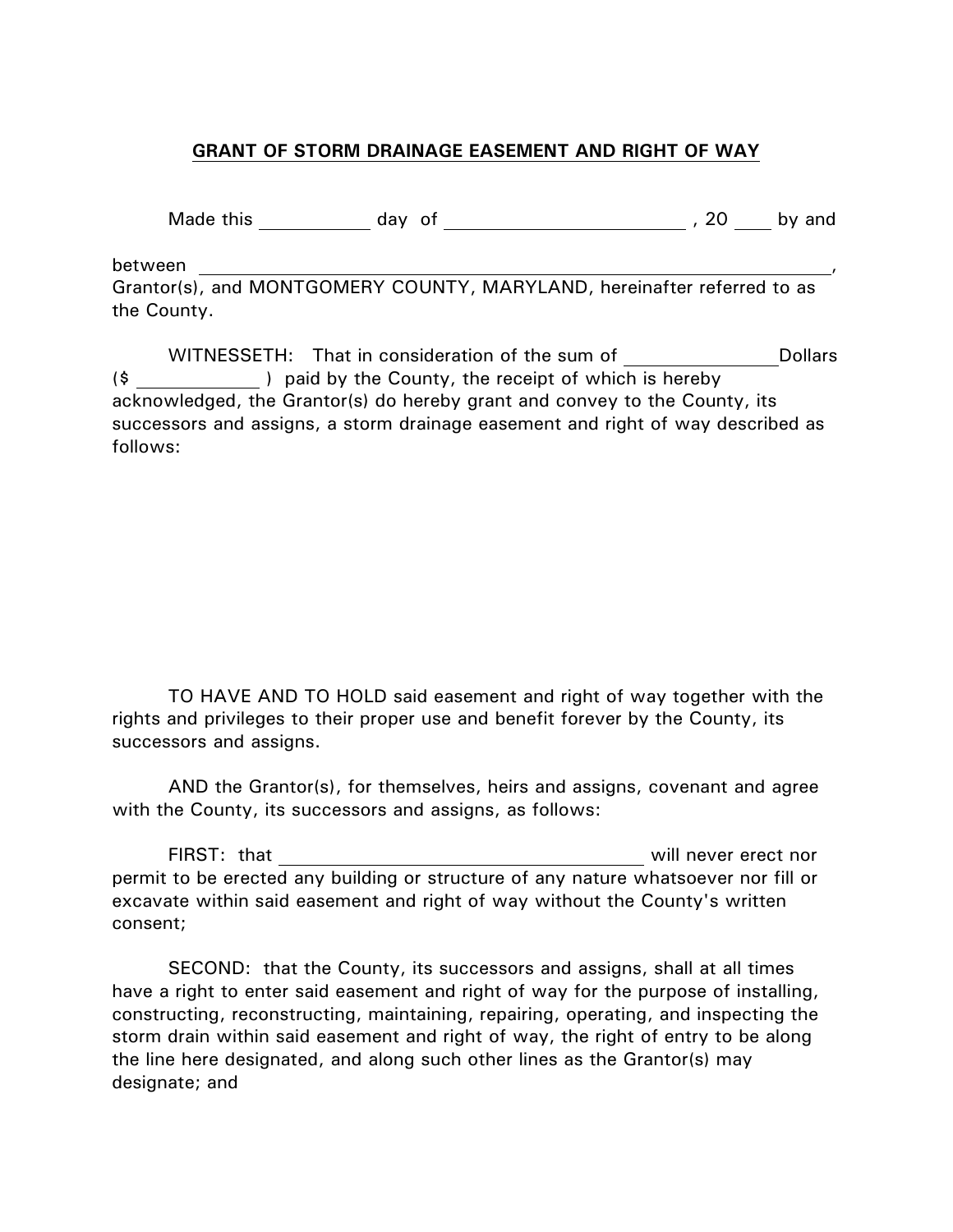## **GRANT OF STORM DRAINAGE EASEMENT AND RIGHT OF WAY**

Made this day of , 20 by and

between ,

Grantor(s), and MONTGOMERY COUNTY, MARYLAND, hereinafter referred to as the County.

WITNESSETH: That in consideration of the sum of The Dollars (\$ ) paid by the County, the receipt of which is hereby acknowledged, the Grantor(s) do hereby grant and convey to the County, its successors and assigns, a storm drainage easement and right of way described as follows:

TO HAVE AND TO HOLD said easement and right of way together with the rights and privileges to their proper use and benefit forever by the County, its successors and assigns.

AND the Grantor(s), for themselves, heirs and assigns, covenant and agree with the County, its successors and assigns, as follows:

FIRST: that will never erect nor permit to be erected any building or structure of any nature whatsoever nor fill or excavate within said easement and right of way without the County's written consent;

SECOND: that the County, its successors and assigns, shall at all times have a right to enter said easement and right of way for the purpose of installing, constructing, reconstructing, maintaining, repairing, operating, and inspecting the storm drain within said easement and right of way, the right of entry to be along the line here designated, and along such other lines as the Grantor(s) may designate; and